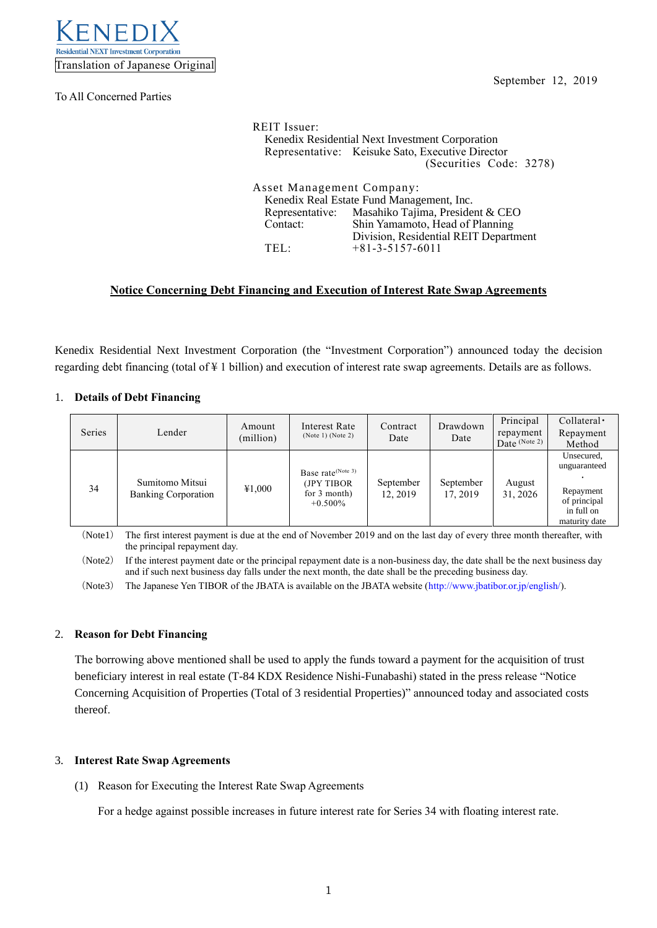

To All Concerned Parties

| REIT Issuer:<br>Kenedix Residential Next Investment Corporation<br>Representative: Keisuke Sato, Executive Director<br>(Securities Code: 3278) |                                                  |  |  |  |  |  |  |
|------------------------------------------------------------------------------------------------------------------------------------------------|--------------------------------------------------|--|--|--|--|--|--|
| Asset Management Company:                                                                                                                      |                                                  |  |  |  |  |  |  |
| Kenedix Real Estate Fund Management, Inc.                                                                                                      |                                                  |  |  |  |  |  |  |
|                                                                                                                                                | Representative: Masahiko Tajima, President & CEO |  |  |  |  |  |  |
| Contact:                                                                                                                                       | Shin Yamamoto, Head of Planning                  |  |  |  |  |  |  |
| Division, Residential REIT Department                                                                                                          |                                                  |  |  |  |  |  |  |
| TEL·                                                                                                                                           | $+81-3-5157-6011$                                |  |  |  |  |  |  |

# **Notice Concerning Debt Financing and Execution of Interest Rate Swap Agreements**

Kenedix Residential Next Investment Corporation (the "Investment Corporation") announced today the decision regarding debt financing (total of ¥ 1 billion) and execution of interest rate swap agreements. Details are as follows.

#### 1. **Details of Debt Financing**

| Series | Lender                                        | Amount<br>(million) | Interest Rate<br>(Note 1) (Note 2)                                           | Contract<br>Date      | Drawdown<br>Date      | Principal<br>repayment<br>Date $(Note 2)$ | $Collateral \cdot$<br>Repayment<br>Method                                              |
|--------|-----------------------------------------------|---------------------|------------------------------------------------------------------------------|-----------------------|-----------------------|-------------------------------------------|----------------------------------------------------------------------------------------|
| 34     | Sumitomo Mitsui<br><b>Banking Corporation</b> | ¥1,000              | Base rate <sup>(Note 3)</sup><br>(JPY TIBOR)<br>for $3$ month)<br>$+0.500\%$ | September<br>12, 2019 | September<br>17, 2019 | August<br>31, 2026                        | Unsecured,<br>unguaranteed<br>Repayment<br>of principal<br>in full on<br>maturity date |

(Note1) The first interest payment is due at the end of November 2019 and on the last day of every three month thereafter, with the principal repayment day.

(Note2) If the interest payment date or the principal repayment date is a non-business day, the date shall be the next business day and if such next business day falls under the next month, the date shall be the preceding business day.

(Note3) The Japanese Yen TIBOR of the JBATA is available on the JBATA website [\(http://www.jbatibor.or.jp/english/\)](http://www.jbatibor.or.jp/english/).

## 2. **Reason for Debt Financing**

The borrowing above mentioned shall be used to apply the funds toward a payment for the acquisition of trust beneficiary interest in real estate (T-84 KDX Residence Nishi-Funabashi) stated in the press release "Notice Concerning Acquisition of Properties (Total of 3 residential Properties)" announced today and associated costs thereof.

## 3. **Interest Rate Swap Agreements**

(1) Reason for Executing the Interest Rate Swap Agreements

For a hedge against possible increases in future interest rate for Series 34 with floating interest rate.